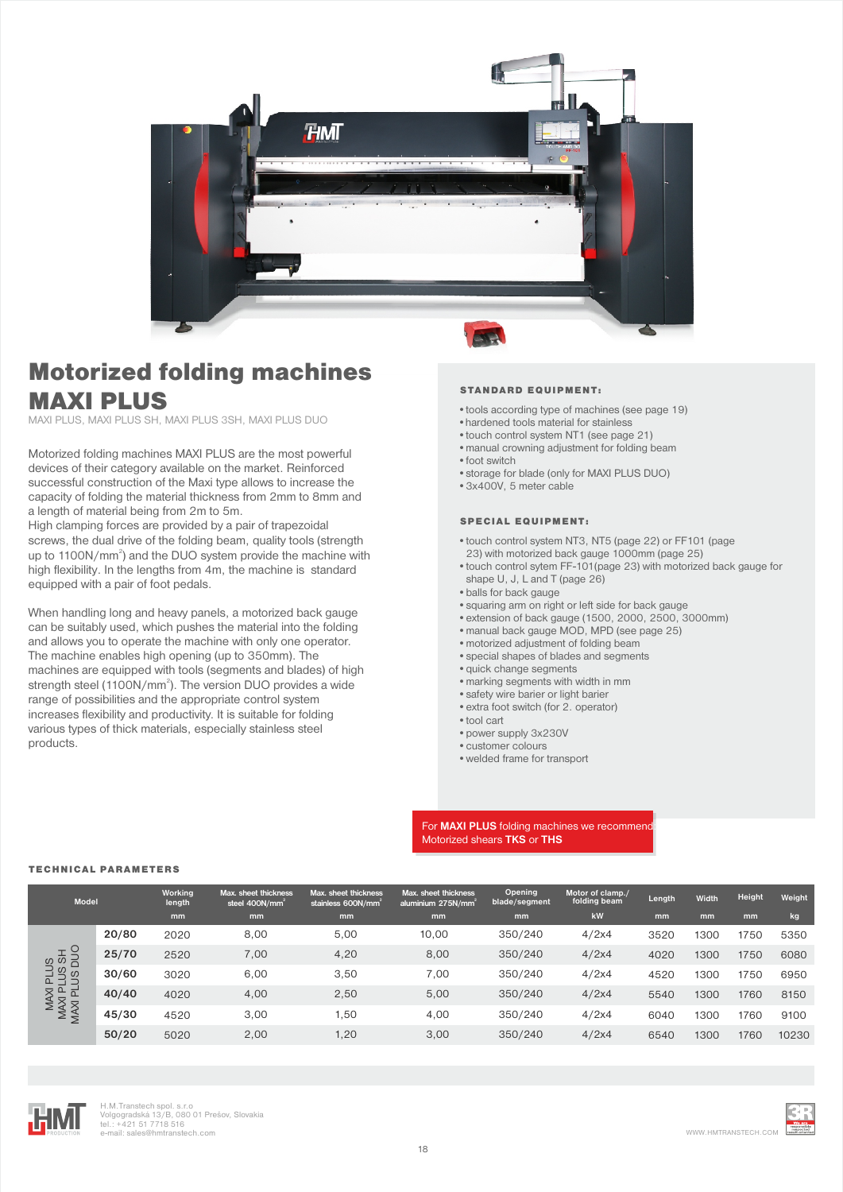

# Motorized folding machines MAXI PLUS

MAXI PLUS, MAXI PLUS SH, MAXI PLUS 3SH, MAXI PLUS DUO

Motorized folding machines MAXI PLUS are the most powerful devices of their category available on the market. Reinforced successful construction of the Maxi type allows to increase the capacity of folding the material thickness from 2mm to 8mm and a length of material being from 2m to 5m.

High clamping forces are provided by a pair of trapezoidal screws, the dual drive of the folding beam, quality tools (strength up to 1100N/mm<sup>2</sup>) and the DUO system provide the machine with high flexibility. In the lengths from 4m, the machine is standard equipped with a pair of foot pedals.

When handling long and heavy panels, a motorized back gauge can be suitably used, which pushes the material into the folding and allows you to operate the machine with only one operator. The machine enables high opening (up to 350mm). The machines are equipped with tools (segments and blades) of high strength steel (1100N/mm<sup>2</sup>). The version DUO provides a wide range of possibilities and the appropriate control system increases flexibility and productivity. It is suitable for folding various types of thick materials, especially stainless steel products.

#### STANDARD EQUIPMENT:

- •tools according type of machines (see page 19)
- hardened tools material for stainless
- •touch control system NT1 (see page 21)
- •manual crowning adjustment for folding beam
- •foot switch
- •storage for blade (only for MAXI PLUS DUO)
- •3x400V, 5 meter cable

## SPECIAL EQUIPMENT:

- •touch control system NT3, NT5 (page 22) or FF101 (page
- 23) with motorized back gauge 1000mm (page 25)
- •touch control sytem FF-101(page 23) with motorized back gauge for shape U, J, L and T (page 26)
- •balls for back gauge
- •squaring arm on right or left side for back gauge
- •extension of back gauge (1500, 2000, 2500, 3000mm)
- •manual back gauge MOD, MPD (see page 25)
- •motorized adjustment of folding beam
- •special shapes of blades and segments
- •quick change segments
- •marking segments with width in mm
- •safety wire barier or light barier
- •extra foot switch (for 2. operator)
- •tool cart
- 
- •power supply 3x230V
- •customer colours
- •welded frame for transport

### For **MAXI PLUS** folding machines we recommen Motorized shears **TKS** or **THS**

#### TECHNICAL PARAMETERS

| <b>Model</b>                                                                                                              |       | Working<br>length | Max. sheet thickness<br>steel 400N/mm <sup>2</sup> | Max. sheet thickness<br>stainless $600N/mm^2$ | Max. sheet thickness<br>aluminium 275N/mm <sup>2</sup> | <b>Opening</b><br>blade/segment | Motor of clamp./<br>folding beam | Length | Width | Height | Weight |
|---------------------------------------------------------------------------------------------------------------------------|-------|-------------------|----------------------------------------------------|-----------------------------------------------|--------------------------------------------------------|---------------------------------|----------------------------------|--------|-------|--------|--------|
|                                                                                                                           |       | mm                | mm                                                 | mm                                            | mm                                                     | mm                              | kW                               | mm     | mm    | mm     | kg     |
| <b>US<br/>HSSH</b><br>SDUC<br>90<br>SU<br>ᅌ<br>$\overline{\times}$<br>$\Omega$<br>$\overline{a}$<br>MAX<br>MAXI<br>MAXI F | 20/80 | 2020              | 8,00                                               | 5,00                                          | 10,00                                                  | 350/240                         | 4/2x4                            | 3520   | 1300  | 1750   | 5350   |
|                                                                                                                           | 25/70 | 2520              | 7,00                                               | 4,20                                          | 8,00                                                   | 350/240                         | 4/2x4                            | 4020   | 1300  | 1750   | 6080   |
|                                                                                                                           | 30/60 | 3020              | 6,00                                               | 3,50                                          | 7,00                                                   | 350/240                         | 4/2x4                            | 4520   | 1300  | 1750   | 6950   |
|                                                                                                                           | 40/40 | 4020              | 4,00                                               | 2,50                                          | 5,00                                                   | 350/240                         | 4/2x4                            | 5540   | 1300  | 1760   | 8150   |
|                                                                                                                           | 45/30 | 4520              | 3,00                                               | 1,50                                          | 4,00                                                   | 350/240                         | 4/2x4                            | 6040   | 1300  | 1760   | 9100   |
|                                                                                                                           | 50/20 | 5020              | 2,00                                               | 1,20                                          | 3.00                                                   | 350/240                         | 4/2x4                            | 6540   | 1300  | 1760   | 10230  |



H.M.Transtech spol. s.r.o Volgogradská 13/B, 080 01 Prešov, Slovakia tel.: +421 51 7718 516 e-mail: sales and the mail: sales and the mail: sales and the mail: sales and the mail: sales and the mail: sales and the mail: sales and www.HMTRANSTECH.COM www.HMTRANSTECH.COM